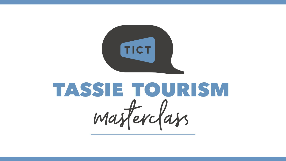

# TASSIE TOURISM masferclass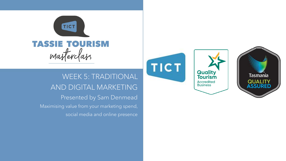

WEEK 5: TRADITIONAL AND DIGITAL MARKETING Presented by Sam Denmead Maximising value from your marketing spend, social media and online presence



**Quality**<br>**Tourism** 

**Accredited**<br>Business

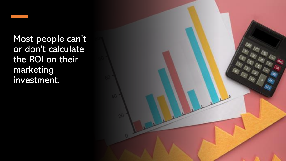Most people can't or don't calculate the ROI on their marketing investment.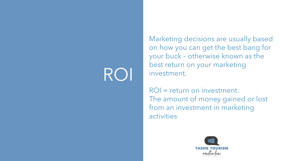## ROI

Marketing decisions are usually based on how you can get the best bang for your buck – otherwise known as the best return on your marketing investment.

ROI = return on investment. The amount of money gained or lost from an investment in marketing activities

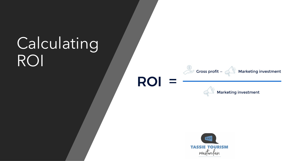## Calculating ROI





**ROI** 

Marketing investment

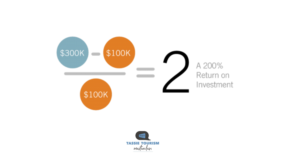

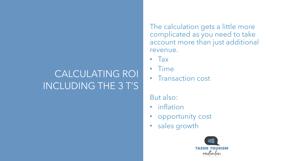## CALCULATING ROI INCLUDING THE 3 T'S

The calculation gets a little more complicated as you need to take account more than just additional revenue.

- Tax
- Time
- Transaction cost

#### But also:

- inflation
- opportunity cost
- sales growth

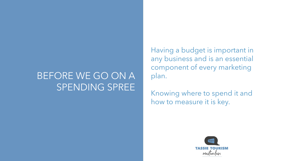## BEFORE WE GO ON A SPENDING SPREE

Having a budget is important in any business and is an essential component of every marketing plan.

Knowing where to spend it and how to measure it is key.

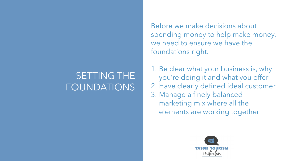## SETTING THE FOUNDATIONS

Before we make decisions about spending money to help make money, we need to ensure we have the foundations right.

1. Be clear what your business is, why you're doing it and what you offer 2. Have clearly defined ideal customer 3. Manage a finely balanced marketing mix where all the elements are working together

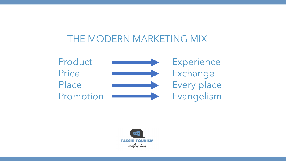#### THE MODERN MARKETING MIX



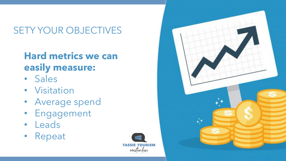## SETY YOUR OBJECTIVES

## **Hard metrics we can easily measure:**

- Sales
- Visitation
- Average spend
- Engagement
- Leads
- Repeat



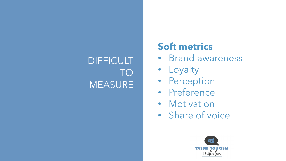## DIFFICULT TO **MEASURE**

## **Soft metrics**

- Brand awareness
- Loyalty
- Perception
- Preference
- Motivation
- Share of voice

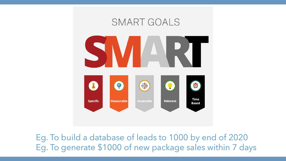

Eg. To build a database of leads to 1000 by end of 2020 Eg. To generate \$1000 of new package sales within 7 days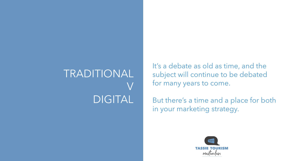## TRADITIONAL V DIGITAL

It's a debate as old as time, and the subject will continue to be debated for many years to come.

But there's a time and a place for both in your marketing strategy.

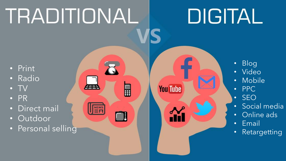# TRADITIONAL

## DIGITAL

- Print
- Radio
- TV
- PR
- Direct mail
- Outdoor
- Personal selling

冊

H

 $n_{\text{F}}$ 

**You Tube** 

- Blog
- Video
- Mobile
- PPC
- SEO
- Social media
- Online ads
- Email
- Retargetting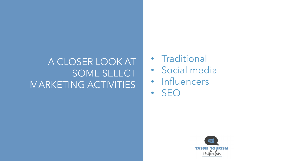## A CLOSER LOOK AT SOME SELECT MARKETING ACTIVITIES

- Traditional
- Social media
- Influencers
- SEO

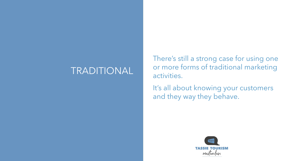#### TRADITIONAL

There's still a strong case for using one or more forms of traditional marketing activities.

It's all about knowing your customers and they way they behave.

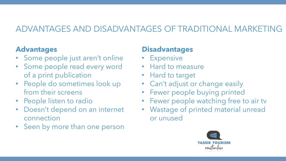#### ADVANTAGES AND DISADVANTAGES OF TRADITIONAL MARKETING

#### **Advantages**

- Some people just aren't online
- Some people read every word of a print publication
- People do sometimes look up from their screens
- People listen to radio
- Doesn't depend on an internet connection
- Seen by more than one person

#### **Disadvantages**

- Expensive
- Hard to measure
- Hard to target
- Can't adjust or change easily
- Fewer people buying printed
- Fewer people watching free to air tv
- Wastage of printed material unread or unused

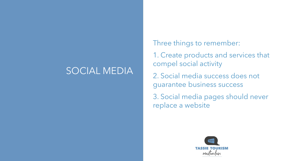#### SOCIAL MEDIA

Three things to remember:

1. Create products and services that compel social activity

2. Social media success does not guarantee business success

3. Social media pages should never replace a website

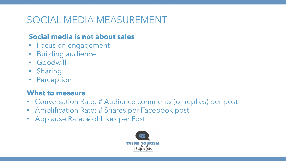## SOCIAL MEDIA MEASUREMENT

#### **Social media is not about sales**

- Focus on engagement
- Building audience
- Goodwill
- Sharing
- Perception

#### **What to measure**

- Conversation Rate: # Audience comments (or replies) per post
- Amplification Rate: # Shares per Facebook post
- Applause Rate: # of Likes per Post

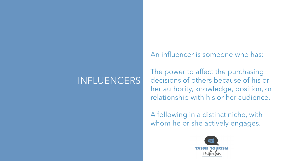## INFLUENCERS

An influencer is someone who has:

The power to affect the purchasing decisions of others because of his or her authority, knowledge, position, or relationship with his or her audience.

A following in a distinct niche, with whom he or she actively engages.

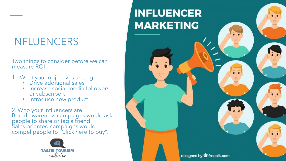## INFLUENCERS

Two things to consider before we can measure ROI:

- 1. What your objectives are, eg.
	- Drive additional sales
	- Increase social media followers or subscribers
	- Introduce new product

2. Who your influencers are Brand awareness campaigns would ask people to share or tag a friend. Sales oriented campaigns would compel people to "Click here to buy".



## **INFLUENCER MARKETING**

designed by **S** freepik.com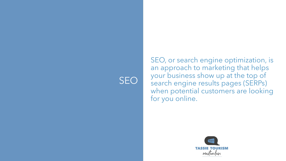## SEO

SEO, or search engine optimization, is an approach to marketing that helps your business show up at the top of search engine results pages (SERPs) when potential customers are looking for you online.

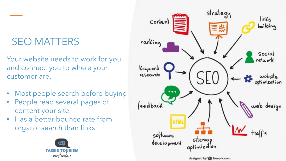## SEO MATTERS

Your website needs to work for you and connect you to where your customer are.

- Most people search before buying
- People read several pages of content your site
- Has a better bounce rate from organic search than links



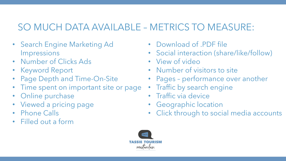## SO MUCH DATA AVAILABLE – METRICS TO MEASURE:

- Search Engine Marketing Ad Impressions
- Number of Clicks Ads
- Keyword Report
- Page Depth and Time-On-Site
- Time spent on important site or page
- Online purchase
- Viewed a pricing page
- Phone Calls
- Filled out a form
- Download of .PDF file
- Social interaction (share/like/follow)
- View of video
- Number of visitors to site
- Pages performance over another
- Traffic by search engine
- Traffic via device
- Geographic location
- Click through to social media accounts

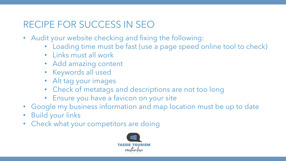## RECIPE FOR SUCCESS IN SEO

- Audit your website checking and fixing the following:
	- Loading time must be fast (use a page speed online tool to check)
	- Links must all work
	- Add amazing content
	- Keywords all used
	- Alt tag your images
	- Check of metatags and descriptions are not too long
	- Ensure you have a favicon on your site
- Google my business information and map location must be up to date
- Build your links
- Check what your competitors are doing

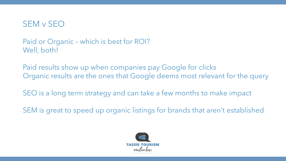

Paid or Organic – which is best for ROI? Well, both!

Paid results show up when companies pay Google for clicks Organic results are the ones that Google deems most relevant for the query

SEO is a long term strategy and can take a few months to make impact

SEM is great to speed up organic listings for brands that aren't established

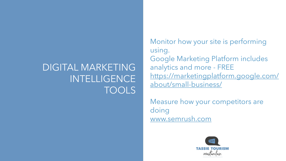## DIGITAL MARKETING INTELLIGENCE TOOLS

Monitor how your site is performing using. Google Marketing Platform includes analytics and more - FREE [https://marketingplatform.google.com/](https://marketingplatform.google.com/about/small-business/) about/small-business/

Measure how your competitors are doing [www.semrush.com](http://www.semrush.com/)

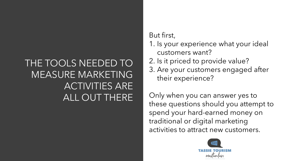## THE TOOLS NEEDED TO MEASURE MARKETING ACTIVITIES ARE ALL OUT THERE

#### But first,

- 1. Is your experience what your ideal customers want?
- 2. Is it priced to provide value?
- 3. Are your customers engaged after their experience?

Only when you can answer yes to these questions should you attempt to spend your hard-earned money on traditional or digital marketing activities to attract new customers.

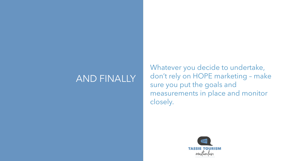#### AND FINALLY

Whatever you decide to undertake, don't rely on HOPE marketing – make sure you put the goals and measurements in place and monitor closely.

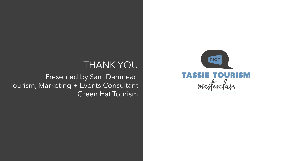#### THANK YOU

Presented by Sam Denmead Tourism, Marketing + Events Consultant **Green Hat Tourism**